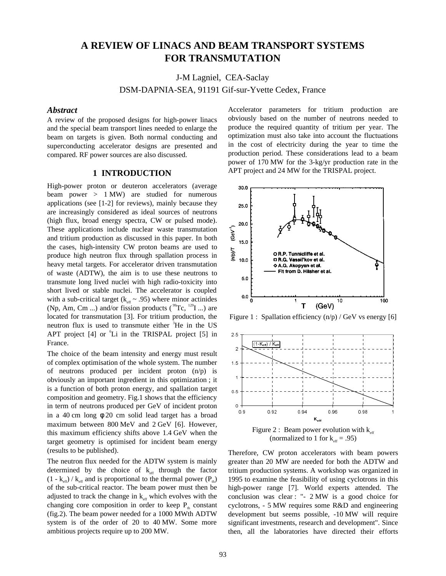# **A REVIEW OF LINACS AND BEAM TRANSPORT SYSTEMS FOR TRANSMUTATION**

J-M Lagniel, CEA-Saclay

DSM-DAPNIA-SEA, 91191 Gif-sur-Yvette Cedex, France

### *Abstract*

A review of the proposed designs for high-power linacs and the special beam transport lines needed to enlarge the beam on targets is given. Both normal conducting and superconducting accelerator designs are presented and compared. RF power sources are also discussed.

# **1 INTRODUCTION**

High-power proton or deuteron accelerators (average beam power > 1 MW) are studied for numerous applications (see [1-2] for reviews), mainly because they are increasingly considered as ideal sources of neutrons (high flux, broad energy spectra, CW or pulsed mode). These applications include nuclear waste transmutation and tritium production as discussed in this paper. In both the cases, high-intensity CW proton beams are used to produce high neutron flux through spallation process in heavy metal targets. For accelerator driven transmutation of waste (ADTW), the aim is to use these neutrons to transmute long lived nuclei with high radio-toxicity into short lived or stable nuclei. The accelerator is coupled with a sub-critical target ( $k_{eff} \sim .95$ ) where minor actinides (Np, Am, Cm ...) and/or fission products ( $^{99}$ Tc,  $^{129}$ I ...) are located for transmutation [3]. For tritium production, the neutron flux is used to transmute either <sup>3</sup>He in the US APT project  $[4]$  or  ${}^{6}$ Li in the TRISPAL project  $[5]$  in France.

The choice of the beam intensity and energy must result of complex optimisation of the whole system. The number of neutrons produced per incident proton (n/p) is obviously an important ingredient in this optimization ; it is a function of both proton energy, and spallation target composition and geometry. Fig.1 shows that the efficiency in term of neutrons produced per GeV of incident proton in a 40 cm long  $\phi$  20 cm solid lead target has a broad maximum between 800 MeV and 2 GeV [6]. However, this maximum efficiency shifts above 1.4 GeV when the target geometry is optimised for incident beam energy (results to be published).

The neutron flux needed for the ADTW system is mainly determined by the choice of  $k<sub>eff</sub>$  through the factor  $(1 - k<sub>eff</sub>) / k<sub>eff</sub>$  and is proportional to the thermal power  $(P<sub>th</sub>)$ of the sub-critical reactor. The beam power must then be adjusted to track the change in  $k_{\text{eff}}$  which evolves with the changing core composition in order to keep  $P_{th}$  constant (fig.2). The beam power needed for a 1000 MWth ADTW system is of the order of 20 to 40 MW. Some more ambitious projects require up to 200 MW.

Accelerator parameters for tritium production are obviously based on the number of neutrons needed to produce the required quantity of tritium per year. The optimization must also take into account the fluctuations in the cost of electricity during the year to time the production period. These considerations lead to a beam power of 170 MW for the 3-kg/yr production rate in the APT project and 24 MW for the TRISPAL project.



Figure 1 : Spallation efficiency  $(n/p)$  / GeV vs energy [6]



(normalized to 1 for  $k_{\text{eff}} = .95$ )

Therefore, CW proton accelerators with beam powers greater than 20 MW are needed for both the ADTW and tritium production systems. A workshop was organized in 1995 to examine the feasibility of using cyclotrons in this high-power range [7]. World experts attended. The conclusion was clear : "- 2 MW is a good choice for cyclotrons, - 5 MW requires some R&D and engineering development but seems possible, -10 MW will require significant investments, research and development". Since then, all the laboratories have directed their efforts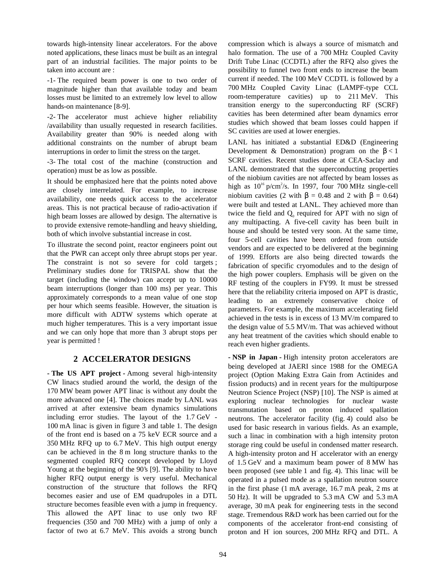towards high-intensity linear accelerators. For the above noted applications, these linacs must be built as an integral part of an industrial facilities. The major points to be taken into account are :

-1- The required beam power is one to two order of magnitude higher than that available today and beam losses must be limited to an extremely low level to allow hands-on maintenance [8-9].

-2- The accelerator must achieve higher reliability /availability than usually requested in research facilities. Availability greater than 90% is needed along with additional constraints on the number of abrupt beam interruptions in order to limit the stress on the target.

-3- The total cost of the machine (construction and operation) must be as low as possible.

It should be emphasized here that the points noted above are closely interrelated. For example, to increase availability, one needs quick access to the accelerator areas. This is not practical because of radio-activation if high beam losses are allowed by design. The alternative is to provide extensive remote-handling and heavy shielding, both of which involve substantial increase in cost.

To illustrate the second point, reactor engineers point out that the PWR can accept only three abrupt stops per year. The constraint is not so severe for cold targets; Preliminary studies done for TRISPAL show that the target (including the window) can accept up to 10000 beam interruptions (longer than 100 ms) per year. This approximately corresponds to a mean value of one stop per hour which seems feasible. However, the situation is more difficult with ADTW systems which operate at much higher temperatures. This is a very important issue and we can only hope that more than 3 abrupt stops per year is permitted !

# **2 ACCELERATOR DESIGNS**

**- The US APT project -** Among several high-intensity CW linacs studied around the world, the design of the 170 MW beam power APT linac is without any doubt the more advanced one [4]. The choices made by LANL was arrived at after extensive beam dynamics simulations including error studies. The layout of the 1.7 GeV - 100 mA linac is given in figure 3 and table 1. The design of the front end is based on a 75 keV ECR source and a 350 MHz RFQ up to 6.7 MeV. This high output energy can be achieved in the 8 m long structure thanks to the segmented coupled RFQ concept developed by Lloyd Young at the beginning of the 90's [9]. The ability to have higher RFQ output energy is very useful. Mechanical construction of the structure that follows the RFQ becomes easier and use of EM quadrupoles in a DTL structure becomes feasible even with a jump in frequency. This allowed the APT linac to use only two RF frequencies (350 and 700 MHz) with a jump of only a factor of two at 6.7 MeV. This avoids a strong bunch

compression which is always a source of mismatch and halo formation. The use of a 700 MHz Coupled Cavity Drift Tube Linac (CCDTL) after the RFQ also gives the possibility to funnel two front ends to increase the beam current if needed. The 100 MeV CCDTL is followed by a 700 MHz Coupled Cavity Linac (LAMPF-type CCL room-temperature cavities) up to 211 MeV. This transition energy to the superconducting RF (SCRF) cavities has been determined after beam dynamics error studies which showed that beam losses could happen if SC cavities are used at lower energies.

LANL has initiated a substantial ED&D (Engineering Development & Demonstration) program on the  $\beta < 1$ SCRF cavities. Recent studies done at CEA-Saclay and LANL demonstrated that the superconducting properties of the niobium cavities are not affected by beam losses as high as  $10^{16}$  p/cm<sup>2</sup>/s. In 1997, four 700 MHz single-cell niobium cavities (2 with  $\beta$  = 0.48 and 2 with  $\beta$  = 0.64) were built and tested at LANL. They achieved more than twice the field and  $Q_0$  required for APT with no sign of any multipacting. A five-cell cavity has been built in house and should be tested very soon. At the same time, four 5-cell cavities have been ordered from outside vendors and are expected to be delivered at the beginning of 1999. Efforts are also being directed towards the fabrication of specific cryomodules and to the design of the high power couplers. Emphasis will be given on the RF testing of the couplers in FY99. It must be stressed here that the reliability criteria imposed on APT is drastic, leading to an extremely conservative choice of parameters. For example, the maximum accelerating field achieved in the tests is in excess of 13 MV/m compared to the design value of 5.5 MV/m. That was achieved without any heat treatment of the cavities which should enable to reach even higher gradients.

**- NSP in Japan -** High intensity proton accelerators are being developed at JAERI since 1988 for the OMEGA project (Option Making Extra Gain from Actinides and fission products) and in recent years for the multipurpose Neutron Science Project (NSP) [10]. The NSP is aimed at exploring nuclear technologies for nuclear waste transmutation based on proton induced spallation neutrons. The accelerator facility (fig. 4) could also be used for basic research in various fields. As an example, such a linac in combination with a high intensity proton storage ring could be useful in condensed matter research. A high-intensity proton and H- accelerator with an energy of 1.5 GeV and a maximum beam power of 8 MW has been proposed (see table 1 and fig. 4). This linac will be operated in a pulsed mode as a spallation neutron source in the first phase (1 mA average, 16.7 mA peak, 2 ms at 50 Hz). It will be upgraded to 5.3 mA CW and 5.3 mA average, 30 mA peak for engineering tests in the second stage. Tremendous R&D work has been carried out for the components of the accelerator front-end consisting of proton and H- ion sources, 200 MHz RFQ and DTL. A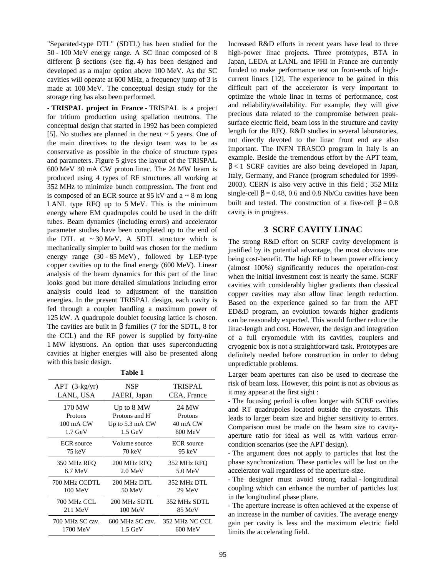"Separated-type DTL" (SDTL) has been studied for the 50 - 100 MeV energy range. A SC linac composed of 8 different β sections (see fig. 4) has been designed and developed as a major option above 100 MeV. As the SC cavities will operate at 600 MHz, a frequency jump of 3 is made at 100 MeV. The conceptual design study for the storage ring has also been performed.

**- TRISPAL project in France -** TRISPAL is a project for tritium production using spallation neutrons. The conceptual design that started in 1992 has been completed [5]. No studies are planned in the next  $\sim$  5 years. One of the main directives to the design team was to be as conservative as possible in the choice of structure types and parameters. Figure 5 gives the layout of the TRISPAL 600 MeV 40 mA CW proton linac. The 24 MW beam is produced using 4 types of RF structures all working at 352 MHz to minimize bunch compression. The front end is composed of an ECR source at 95 kV and  $a \sim 8$  m long LANL type RFQ up to 5 MeV. This is the minimum energy where EM quadrupoles could be used in the drift tubes. Beam dynamics (including errors) and accelerator parameter studies have been completed up to the end of the DTL at  $\sim 30$  MeV. A SDTL structure which is mechanically simpler to build was chosen for the medium energy range (30 - 85 MeV) , followed by LEP-type copper cavities up to the final energy (600 MeV). Linear analysis of the beam dynamics for this part of the linac looks good but more detailed simulations including error analysis could lead to adjustment of the transition energies. In the present TRISPAL design, each cavity is fed through a coupler handling a maximum power of 125 kW. A quadrupole doublet focusing lattice is chosen. The cavities are built in  $\beta$  families (7 for the SDTL, 8 for the CCL) and the RF power is supplied by forty-nine 1 MW klystrons. An option that uses superconducting cavities at higher energies will also be presented along with this basic design.

|  | H<br>L |  |
|--|--------|--|
|--|--------|--|

| $APT$ (3- $kg/yr$ ) | <b>NSP</b>                 | TRISPAL           |
|---------------------|----------------------------|-------------------|
| LANL, USA           | JAERI, Japan               | CEA, France       |
| 170 MW              | Up to 8 MW                 | 24 MW             |
| Protons             | Protons and H <sup>-</sup> | Protons           |
| $100 \text{ mA}$ CW | Up to $5.3 \text{ mA}$ CW  | 40 mA CW          |
| $1.7 \text{ GeV}$   | $1.5 \text{ GeV}$          | 600 MeV           |
| <b>ECR</b> source   | Volume source              | <b>ECR</b> source |
| $75 \text{ keV}$    | 70 keV                     | $95 \text{ keV}$  |
| 350 MHz RFO         | 200 MHz RFO                | 352 MHz RFQ       |
| 6.7 MeV             | $2.0 \,\mathrm{MeV}$       | $5.0 \text{ MeV}$ |
| 700 MHz CCDTL       | 200 MHz DTL                | 352 MHz DTL       |
| $100 \text{ MeV}$   | 50 MeV                     | 29 MeV            |
| 700 MHz CCL         | 200 MHz SDTL               | 352 MHz SDTL      |
| $211$ MeV           | $100 \text{ MeV}$          | 85 MeV            |
| 700 MHz SC cav.     | 600 MHz SC cav.            | 352 MHz NC CCL    |
| 1700 MeV            | $1.5 \text{ GeV}$          | $600 \text{ MeV}$ |

Increased R&D efforts in recent years have lead to three high-power linac projects. Three prototypes, BTA in Japan, LEDA at LANL and IPHI in France are currently funded to make performance test on front-ends of highcurrent linacs [12]. The experience to be gained in this difficult part of the accelerator is very important to optimize the whole linac in terms of performance, cost and reliability/availability. For example, they will give precious data related to the compromise between peaksurface electric field, beam loss in the structure and cavity length for the RFQ. R&D studies in several laboratories, not directly devoted to the linac front end are also important. The INFN TRASCO program in Italy is an example. Beside the tremendous effort by the APT team,  $\beta$  < 1 SCRF cavities are also being developed in Japan, Italy, Germany, and France (program scheduled for 1999- 2003). CERN is also very active in this field ; 352 MHz single-cell  $\beta$  = 0.48, 0.6 and 0.8 Nb/Cu cavities have been built and tested. The construction of a five-cell  $\beta = 0.8$ cavity is in progress.

# **3 SCRF CAVITY LINAC**

The strong R&D effort on SCRF cavity development is justified by its potential advantage, the most obvious one being cost-benefit. The high RF to beam power efficiency (almost 100%) significantly reduces the operation-cost when the initial investment cost is nearly the same. SCRF cavities with considerably higher gradients than classical copper cavities may also allow linac length reduction. Based on the experience gained so far from the APT ED&D program, an evolution towards higher gradients can be reasonably expected. This would further reduce the linac-length and cost. However, the design and integration of a full cryomodule with its cavities, couplers and cryogenic box is not a straightforward task. Prototypes are definitely needed before construction in order to debug unpredictable problems.

Larger beam apertures can also be used to decrease the risk of beam loss. However, this point is not as obvious as it may appear at the first sight :

- The focusing period is often longer with SCRF cavities and RT quadrupoles located outside the cryostats. This leads to larger beam size and higher sensitivity to errors. Comparison must be made on the beam size to cavityaperture ratio for ideal as well as with various errorcondition scenarios (see the APT design).

- The argument does not apply to particles that lost the phase synchronization. These particles will be lost on the accelerator wall regardless of the aperture-size.

- The designer must avoid strong radial - longitudinal coupling which can enhance the number of particles lost in the longitudinal phase plane.

- The aperture increase is often achieved at the expense of an increase in the number of cavities. The average energy gain per cavity is less and the maximum electric field limits the accelerating field.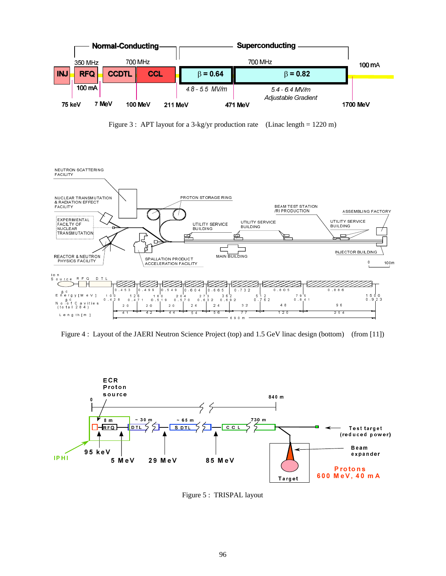

Figure 3 : APT layout for a 3-kg/yr production rate (Linac length = 1220 m)



Figure 4 : Layout of the JAERI Neutron Science Project (top) and 1.5 GeV linac design (bottom) (from [11])



Figure 5 : TRISPAL layout